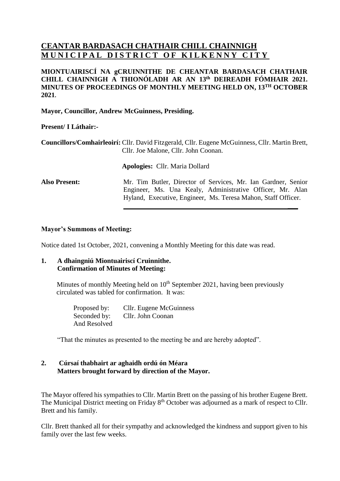## **CEANTAR BARDASACH CHATHAIR CHILL CHAINNIGH MUNICIPAL DISTRICT OF KILKENNY CITY**

#### **MIONTUAIRISCÍ NA gCRUINNITHE DE CHEANTAR BARDASACH CHATHAIR CHILL CHAINNIGH A THIONÓLADH AR AN 13 th DEIREADH FÓMHAIR 2021. MINUTES OF PROCEEDINGS OF MONTHLY MEETING HELD ON, 13 TH OCTOBER 2021.**

**Mayor, Councillor, Andrew McGuinness, Presiding.**

#### **Present/ I Láthair:-**

**Councillors/Comhairleoirí:** Cllr. David Fitzgerald, Cllr. Eugene McGuinness, Cllr. Martin Brett, Cllr. Joe Malone, Cllr. John Coonan.

**Apologies:** Cllr. Maria Dollard

**Also Present:** Mr. Tim Butler, Director of Services, Mr. Ian Gardner, Senior Engineer, Ms. Una Kealy, Administrative Officer, Mr. Alan Hyland, Executive, Engineer, Ms. Teresa Mahon, Staff Officer.

**\_\_\_**

#### **Mayor's Summons of Meeting:**

Notice dated 1st October, 2021, convening a Monthly Meeting for this date was read.

## **1. A dhaingniú Miontuairiscí Cruinnithe. Confirmation of Minutes of Meeting:**

Minutes of monthly Meeting held on  $10<sup>th</sup>$  September 2021, having been previously circulated was tabled for confirmation. It was:

> Proposed by: Cllr. Eugene McGuinness Seconded by: Cllr. John Coonan And Resolved

"That the minutes as presented to the meeting be and are hereby adopted".

## **2. Cúrsaí thabhairt ar aghaidh ordú ón Méara Matters brought forward by direction of the Mayor.**

The Mayor offered his sympathies to Cllr. Martin Brett on the passing of his brother Eugene Brett. The Municipal District meeting on Friday 8<sup>th</sup> October was adjourned as a mark of respect to Cllr. Brett and his family.

Cllr. Brett thanked all for their sympathy and acknowledged the kindness and support given to his family over the last few weeks.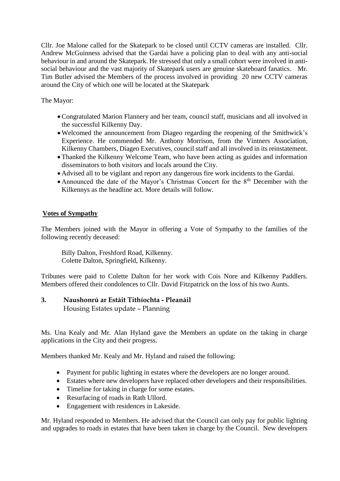Cllr. Joe Malone called for the Skatepark to be closed until CCTV cameras are installed. Cllr. Andrew McGuinness advised that the Gardai have a policing plan to deal with any anti-social behaviour in and around the Skatepark. He stressed that only a small cohort were involved in antisocial behaviour and the vast majority of Skatepark users are genuine skateboard fanatics. Mr. Tim Butler advised the Members of the process involved in providing 20 new CCTV cameras around the City of which one will be located at the Skatepark

The Mayor:

- Congratulated Marion Flannery and her team, council staff, musicians and all involved in the successful Kilkenny Day.
- Welcomed the announcement from Diageo regarding the reopening of the Smithwick's Experience. He commended Mr. Anthony Morrison, from the Vintners Association, Kilkenny Chambers, Diageo Executives, council staff and all involved in its reinstatement.
- Thanked the Kilkenny Welcome Team, who have been acting as guides and information disseminators to both visitors and locals around the City.
- Advised all to be vigilant and report any dangerous fire work incidents to the Gardai.
- Announced the date of the Mayor's Christmas Concert for the  $8<sup>th</sup>$  December with the Kilkennys as the headline act. More details will follow.

## **Votes of Sympathy**

The Members joined with the Mayor in offering a Vote of Sympathy to the families of the following recently deceased:

Billy Dalton, Freshford Road, Kilkenny. Colette Dalton, Springfield, Kilkenny.

Tribunes were paid to Colette Dalton for her work with Cois Nore and Kilkenny Paddlers. Members offered their condolences to Cllr. David Fitzpatrick on the loss of his two Aunts.

## **3. Naushonrú ar Estáit Tithíochta - Pleanáil**

Housing Estates update – Planning

Ms. Una Kealy and Mr. Alan Hyland gave the Members an update on the taking in charge applications in the City and their progress.

Members thanked Mr. Kealy and Mr. Hyland and raised the following:

- Payment for public lighting in estates where the developers are no longer around.
- Estates where new developers have replaced other developers and their responsibilities.
- Timeline for taking in charge for some estates.
- Resurfacing of roads in Rath Ullord.
- Engagement with residences in Lakeside.

Mr. Hyland responded to Members. He advised that the Council can only pay for public lighting and upgrades to roads in estates that have been taken in charge by the Council. New developers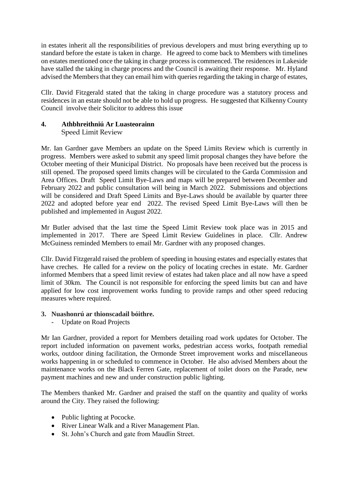in estates inherit all the responsibilities of previous developers and must bring everything up to standard before the estate is taken in charge. He agreed to come back to Members with timelines on estates mentioned once the taking in charge process is commenced. The residences in Lakeside have stalled the taking in charge process and the Council is awaiting their response. Mr. Hyland advised the Members that they can email him with queries regarding the taking in charge of estates,

Cllr. David Fitzgerald stated that the taking in charge procedure was a statutory process and residences in an estate should not be able to hold up progress. He suggested that Kilkenny County Council involve their Solicitor to address this issue

# **4. Athbhreithniú Ar Luasteorainn**

Speed Limit Review

Mr. Ian Gardner gave Members an update on the Speed Limits Review which is currently in progress. Members were asked to submit any speed limit proposal changes they have before the October meeting of their Municipal District. No proposals have been received but the process is still opened. The proposed speed limits changes will be circulated to the Garda Commission and Area Offices. Draft Speed Limit Bye-Laws and maps will be prepared between December and February 2022 and public consultation will being in March 2022. Submissions and objections will be considered and Draft Speed Limits and Bye-Laws should be available by quarter three 2022 and adopted before year end 2022. The revised Speed Limit Bye-Laws will then be published and implemented in August 2022.

Mr Butler advised that the last time the Speed Limit Review took place was in 2015 and implemented in 2017. There are Speed Limit Review Guidelines in place. Cllr. Andrew McGuiness reminded Members to email Mr. Gardner with any proposed changes.

Cllr. David Fitzgerald raised the problem of speeding in housing estates and especially estates that have creches. He called for a review on the policy of locating creches in estate. Mr. Gardner informed Members that a speed limit review of estates had taken place and all now have a speed limit of 30km. The Council is not responsible for enforcing the speed limits but can and have applied for low cost improvement works funding to provide ramps and other speed reducing measures where required.

## **3. Nuashonrú ar thionscadail bóithre.**

- Update on Road Projects

Mr Ian Gardner, provided a report for Members detailing road work updates for October. The report included information on pavement works, pedestrian access works, footpath remedial works, outdoor dining facilitation, the Ormonde Street improvement works and miscellaneous works happening in or scheduled to commence in October. He also advised Members about the maintenance works on the Black Ferren Gate, replacement of toilet doors on the Parade, new payment machines and new and under construction public lighting.

The Members thanked Mr. Gardner and praised the staff on the quantity and quality of works around the City. They raised the following:

- Public lighting at Pococke.
- River Linear Walk and a River Management Plan.
- St. John's Church and gate from Maudlin Street.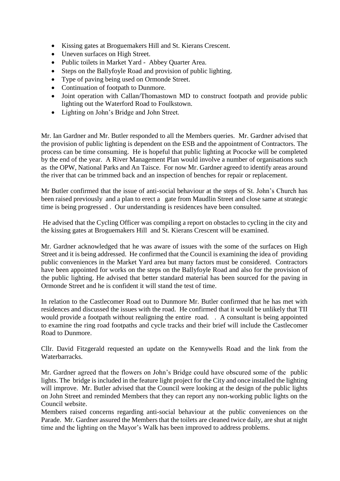- Kissing gates at Broguemakers Hill and St. Kierans Crescent.
- Uneven surfaces on High Street.
- Public toilets in Market Yard Abbey Quarter Area.
- Steps on the Ballyfoyle Road and provision of public lighting.
- Type of paving being used on Ormonde Street.
- Continuation of footpath to Dunmore.
- Joint operation with Callan/Thomastown MD to construct footpath and provide public lighting out the Waterford Road to Foulkstown.
- Lighting on John's Bridge and John Street.

Mr. Ian Gardner and Mr. Butler responded to all the Members queries. Mr. Gardner advised that the provision of public lighting is dependent on the ESB and the appointment of Contractors. The process can be time consuming. He is hopeful that public lighting at Pococke will be completed by the end of the year. A River Management Plan would involve a number of organisations such as the OPW, National Parks and An Taisce. For now Mr. Gardner agreed to identify areas around the river that can be trimmed back and an inspection of benches for repair or replacement.

Mr Butler confirmed that the issue of anti-social behaviour at the steps of St. John's Church has been raised previously and a plan to erect a gate from Maudlin Street and close same at strategic time is being progressed . Our understanding is residences have been consulted.

He advised that the Cycling Officer was compiling a report on obstacles to cycling in the city and the kissing gates at Broguemakers Hill and St. Kierans Crescent will be examined.

Mr. Gardner acknowledged that he was aware of issues with the some of the surfaces on High Street and it is being addressed. He confirmed that the Council is examining the idea of providing public conveniences in the Market Yard area but many factors must be considered. Contractors have been appointed for works on the steps on the Ballyfoyle Road and also for the provision of the public lighting. He advised that better standard material has been sourced for the paving in Ormonde Street and he is confident it will stand the test of time.

In relation to the Castlecomer Road out to Dunmore Mr. Butler confirmed that he has met with residences and discussed the issues with the road. He confirmed that it would be unlikely that TII would provide a footpath without realigning the entire road. . A consultant is being appointed to examine the ring road footpaths and cycle tracks and their brief will include the Castlecomer Road to Dunmore.

Cllr. David Fitzgerald requested an update on the Kennywells Road and the link from the **Waterbarracks** 

Mr. Gardner agreed that the flowers on John's Bridge could have obscured some of the public lights. The bridge is included in the feature light project for the City and once installed the lighting will improve. Mr. Butler advised that the Council were looking at the design of the public lights on John Street and reminded Members that they can report any non-working public lights on the Council website.

Members raised concerns regarding anti-social behaviour at the public conveniences on the Parade. Mr. Gardner assured the Members that the toilets are cleaned twice daily, are shut at night time and the lighting on the Mayor's Walk has been improved to address problems.